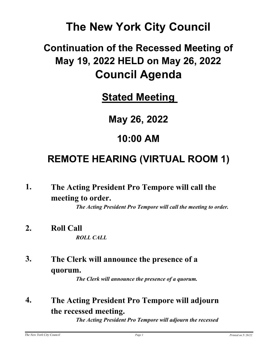# **The New York City Council**

# **Continuation of the Recessed Meeting of May 19, 2022 HELD on May 26, 2022 Council Agenda**

**Stated Meeting** 

**May 26, 2022**

## **10:00 AM**

# **REMOTE HEARING (VIRTUAL ROOM 1)**

**The Acting President Pro Tempore will call the meeting to order. 1.**

*The Acting President Pro Tempore will call the meeting to order.*

- **2. Roll Call** *ROLL CALL*
- **The Clerk will announce the presence of a quorum. 3.**

*The Clerk will announce the presence of a quorum.*

**The Acting President Pro Tempore will adjourn the recessed meeting. 4.**

*The Acting President Pro Tempore will adjourn the recessed*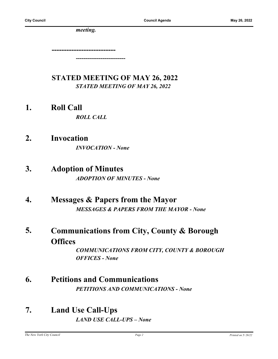*meeting.*

**--------------------------** *--------------------------*

## **STATED MEETING OF MAY 26, 2022** *STATED MEETING OF MAY 26, 2022*

**1. Roll Call**

*ROLL CALL*

- **2. Invocation** *INVOCATION - None*
- **3. Adoption of Minutes** *ADOPTION OF MINUTES - None*
- **4. Messages & Papers from the Mayor** *MESSAGES & PAPERS FROM THE MAYOR - None*
- **Communications from City, County & Borough Offices 5.**

*COMMUNICATIONS FROM CITY, COUNTY & BOROUGH OFFICES - None*

- **6. Petitions and Communications** *PETITIONS AND COMMUNICATIONS - None*
- **7. Land Use Call-Ups** *LAND USE CALL-UPS – None*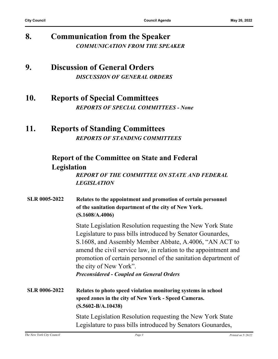## **8. Communication from the Speaker** *COMMUNICATION FROM THE SPEAKER*

## **9. Discussion of General Orders** *DISCUSSION OF GENERAL ORDERS*

## **10. Reports of Special Committees** *REPORTS OF SPECIAL COMMITTEES - None*

## **11. Reports of Standing Committees** *REPORTS OF STANDING COMMITTEES*

## **Report of the Committee on State and Federal Legislation**

*REPORT OF THE COMMITTEE ON STATE AND FEDERAL LEGISLATION*

| <b>SLR 0005-2022</b> | Relates to the appointment and promotion of certain personnel<br>of the sanitation department of the city of New York.<br>(S.1608/A.4006)                                                                                                                                                                                                                                                             |
|----------------------|-------------------------------------------------------------------------------------------------------------------------------------------------------------------------------------------------------------------------------------------------------------------------------------------------------------------------------------------------------------------------------------------------------|
|                      | State Legislation Resolution requesting the New York State<br>Legislature to pass bills introduced by Senator Gounardes,<br>S.1608, and Assembly Member Abbate, A.4006, "AN ACT to<br>amend the civil service law, in relation to the appointment and<br>promotion of certain personnel of the sanitation department of<br>the city of New York".<br><b>Preconsidered - Coupled on General Orders</b> |
| <b>SLR 0006-2022</b> | Relates to photo speed violation monitoring systems in school<br>speed zones in the city of New York - Speed Cameras.<br>$(S.5602-B/A.10438)$                                                                                                                                                                                                                                                         |
|                      | State Legislation Resolution requesting the New York State<br>Legislature to pass bills introduced by Senators Gounardes,                                                                                                                                                                                                                                                                             |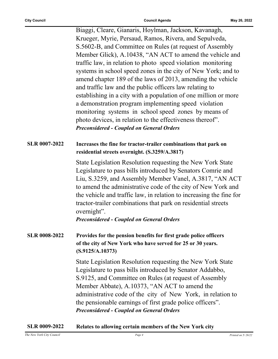Biaggi, Cleare, Gianaris, Hoylman, Jackson, Kavanagh, Krueger, Myrie, Persaud, Ramos, Rivera, and Sepulveda, S.5602-B, and Committee on Rules (at request of Assembly Member Glick), A.10438, "AN ACT to amend the vehicle and traffic law, in relation to photo speed violation monitoring systems in school speed zones in the city of New York; and to amend chapter 189 of the laws of 2013, amending the vehicle and traffic law and the public officers law relating to establishing in a city with a population of one million or more a demonstration program implementing speed violation monitoring systems in school speed zones by means of photo devices, in relation to the effectiveness thereof". *Preconsidered - Coupled on General Orders*

### **SLR 0007-2022 Increases the fine for tractor-trailer combinations that park on residential streets overnight. (S.3259/A.3817)**

State Legislation Resolution requesting the New York State Legislature to pass bills introduced by Senators Comrie and Liu, S.3259, and Assembly Member Vanel, A.3817, "AN ACT to amend the administrative code of the city of New York and the vehicle and traffic law, in relation to increasing the fine for tractor-trailer combinations that park on residential streets overnight".

*Preconsidered - Coupled on General Orders*

**SLR 0008-2022 Provides for the pension benefits for first grade police officers of the city of New York who have served for 25 or 30 years. (S.9125/A.10373)**

> State Legislation Resolution requesting the New York State Legislature to pass bills introduced by Senator Addabbo, S.9125, and Committee on Rules (at request of Assembly Member Abbate), A.10373, "AN ACT to amend the administrative code of the city of New York, in relation to the pensionable earnings of first grade police officers". *Preconsidered - Coupled on General Orders*

#### **SLR 0009-2022 Relates to allowing certain members of the New York city**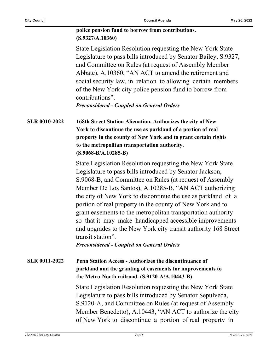#### **police pension fund to borrow from contributions. (S.9327/A.10360)**

State Legislation Resolution requesting the New York State Legislature to pass bills introduced by Senator Bailey, S.9327, and Committee on Rules (at request of Assembly Member Abbate), A.10360, "AN ACT to amend the retirement and social security law, in relation to allowing certain members of the New York city police pension fund to borrow from contributions".

*Preconsidered - Coupled on General Orders*

**SLR 0010-2022 168th Street Station Alienation. Authorizes the city of New York to discontinue the use as parkland of a portion of real property in the county of New York and to grant certain rights to the metropolitan transportation authority. (S.9068-B/A.10285-B)**

> State Legislation Resolution requesting the New York State Legislature to pass bills introduced by Senator Jackson, S.9068-B, and Committee on Rules (at request of Assembly Member De Los Santos), A.10285-B, "AN ACT authorizing the city of New York to discontinue the use as parkland of a portion of real property in the county of New York and to grant easements to the metropolitan transportation authority so that it may make handicapped accessible improvements and upgrades to the New York city transit authority 168 Street transit station".

*Preconsidered - Coupled on General Orders*

### **SLR 0011-2022 Penn Station Access - Authorizes the discontinuance of parkland and the granting of easements for improvements to the Metro-North railroad. (S.9120-A/A.10443-B)**

State Legislation Resolution requesting the New York State Legislature to pass bills introduced by Senator Sepulveda, S.9120-A, and Committee on Rules (at request of Assembly Member Benedetto), A.10443, "AN ACT to authorize the city of New York to discontinue a portion of real property in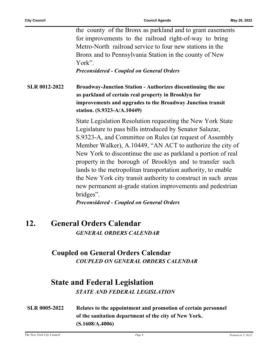the county of the Bronx as parkland and to grant easements for improvements to the railroad right-of-way to bring Metro-North railroad service to four new stations in the Bronx and to Pennsylvania Station in the county of New York".

*Preconsidered - Coupled on General Orders*

**SLR 0012-2022 Broadway-Junction Station - Authorizes discontinuing the use as parkland of certain real property in Brooklyn for improvements and upgrades to the Broadway Junction transit station. (S.9323-A/A.10449)**

> State Legislation Resolution requesting the New York State Legislature to pass bills introduced by Senator Salazar, S.9323-A, and Committee on Rules (at request of Assembly Member Walker), A.10449, "AN ACT to authorize the city of New York to discontinue the use as parkland a portion of real property in the borough of Brooklyn and to transfer such lands to the metropolitan transportation authority, to enable the New York city transit authority to construct in such areas new permanent at-grade station improvements and pedestrian bridges".

*Preconsidered - Coupled on General Orders*

## **12. General Orders Calendar**

*GENERAL ORDERS CALENDAR*

### **Coupled on General Orders Calendar** *COUPLED ON GENERAL ORDERS CALENDAR*

## **State and Federal Legislation**

*STATE AND FEDERAL LEGISLATION*

**SLR 0005-2022 Relates to the appointment and promotion of certain personnel of the sanitation department of the city of New York. (S.1608/A.4006)**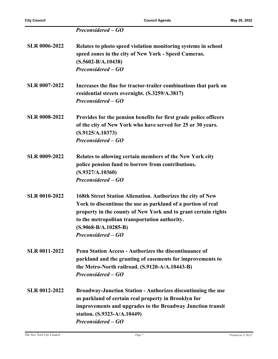*Preconsidered – GO*

| <b>SLR 0006-2022</b> | Relates to photo speed violation monitoring systems in school<br>speed zones in the city of New York - Speed Cameras.<br>$(S.5602-B/A.10438)$<br>Preconsidered – GO                                                                                                                            |
|----------------------|------------------------------------------------------------------------------------------------------------------------------------------------------------------------------------------------------------------------------------------------------------------------------------------------|
| <b>SLR 0007-2022</b> | Increases the fine for tractor-trailer combinations that park on<br>residential streets overnight. (S.3259/A.3817)<br>Preconsidered – GO                                                                                                                                                       |
| <b>SLR 0008-2022</b> | Provides for the pension benefits for first grade police officers<br>of the city of New York who have served for 25 or 30 years.<br>(S.9125/A.10373)<br>Preconsidered – GO                                                                                                                     |
| <b>SLR 0009-2022</b> | Relates to allowing certain members of the New York city<br>police pension fund to borrow from contributions.<br>(S.9327/A.10360)<br>Preconsidered – GO                                                                                                                                        |
| <b>SLR 0010-2022</b> | 168th Street Station Alienation. Authorizes the city of New<br>York to discontinue the use as parkland of a portion of real<br>property in the county of New York and to grant certain rights<br>to the metropolitan transportation authority.<br>$(S.9068-B/A.10285-B)$<br>Preconsidered – GO |
| <b>SLR 0011-2022</b> | Penn Station Access - Authorizes the discontinuance of<br>parkland and the granting of easements for improvements to<br>the Metro-North railroad. (S.9120-A/A.10443-B)<br>Preconsidered – GO                                                                                                   |
| <b>SLR 0012-2022</b> | <b>Broadway-Junction Station - Authorizes discontinuing the use</b><br>as parkland of certain real property in Brooklyn for<br>improvements and upgrades to the Broadway Junction transit<br>station. (S.9323-A/A.10449)<br>Preconsidered – GO                                                 |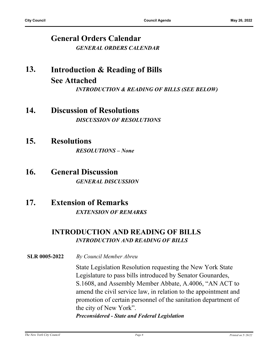## **General Orders Calendar** *GENERAL ORDERS CALENDAR*

#### **Introduction & Reading of Bills See Attached 13.** *INTRODUCTION & READING OF BILLS (SEE BELOW)*

## **14. Discussion of Resolutions** *DISCUSSION OF RESOLUTIONS*

## **15. Resolutions**

*RESOLUTIONS – None*

## **16. General Discussion** *GENERAL DISCUSSION*

## **17. Extension of Remarks** *EXTENSION OF REMARKS*

## **INTRODUCTION AND READING OF BILLS** *INTRODUCTION AND READING OF BILLS*

**SLR 0005-2022** *By Council Member Abreu*

State Legislation Resolution requesting the New York State Legislature to pass bills introduced by Senator Gounardes, S.1608, and Assembly Member Abbate, A.4006, "AN ACT to amend the civil service law, in relation to the appointment and promotion of certain personnel of the sanitation department of the city of New York".

*Preconsidered - State and Federal Legislation*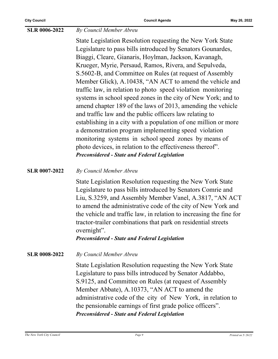#### **SLR 0006-2022** *By Council Member Abreu*

State Legislation Resolution requesting the New York State Legislature to pass bills introduced by Senators Gounardes, Biaggi, Cleare, Gianaris, Hoylman, Jackson, Kavanagh, Krueger, Myrie, Persaud, Ramos, Rivera, and Sepulveda, S.5602-B, and Committee on Rules (at request of Assembly Member Glick), A.10438, "AN ACT to amend the vehicle and traffic law, in relation to photo speed violation monitoring systems in school speed zones in the city of New York; and to amend chapter 189 of the laws of 2013, amending the vehicle and traffic law and the public officers law relating to establishing in a city with a population of one million or more a demonstration program implementing speed violation monitoring systems in school speed zones by means of photo devices, in relation to the effectiveness thereof". *Preconsidered - State and Federal Legislation*

**SLR 0007-2022** *By Council Member Abreu*

State Legislation Resolution requesting the New York State Legislature to pass bills introduced by Senators Comrie and Liu, S.3259, and Assembly Member Vanel, A.3817, "AN ACT to amend the administrative code of the city of New York and the vehicle and traffic law, in relation to increasing the fine for tractor-trailer combinations that park on residential streets overnight".

*Preconsidered - State and Federal Legislation*

**SLR 0008-2022** *By Council Member Abreu*

State Legislation Resolution requesting the New York State Legislature to pass bills introduced by Senator Addabbo, S.9125, and Committee on Rules (at request of Assembly Member Abbate), A.10373, "AN ACT to amend the administrative code of the city of New York, in relation to the pensionable earnings of first grade police officers". *Preconsidered - State and Federal Legislation*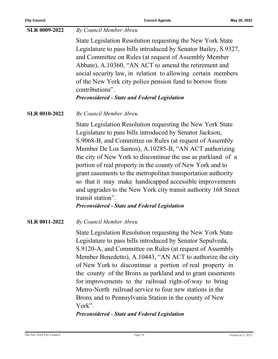| <b>SLR 0009-2022</b> | By Council Member Abreu                                                                                                                                                                                                                                                                                                                                                                                                                                                                                                                                                                                                                            |
|----------------------|----------------------------------------------------------------------------------------------------------------------------------------------------------------------------------------------------------------------------------------------------------------------------------------------------------------------------------------------------------------------------------------------------------------------------------------------------------------------------------------------------------------------------------------------------------------------------------------------------------------------------------------------------|
|                      | State Legislation Resolution requesting the New York State<br>Legislature to pass bills introduced by Senator Bailey, S.9327,<br>and Committee on Rules (at request of Assembly Member<br>Abbate), A.10360, "AN ACT to amend the retirement and<br>social security law, in relation to allowing certain members<br>of the New York city police pension fund to borrow from<br>contributions".<br><b>Preconsidered - State and Federal Legislation</b>                                                                                                                                                                                              |
| <b>SLR 0010-2022</b> | By Council Member Abreu                                                                                                                                                                                                                                                                                                                                                                                                                                                                                                                                                                                                                            |
|                      | State Legislation Resolution requesting the New York State<br>Legislature to pass bills introduced by Senator Jackson,<br>S.9068-B, and Committee on Rules (at request of Assembly<br>Member De Los Santos), A.10285-B, "AN ACT authorizing<br>the city of New York to discontinue the use as parkland of a<br>portion of real property in the county of New York and to<br>grant easements to the metropolitan transportation authority<br>so that it may make handicapped accessible improvements<br>and upgrades to the New York city transit authority 168 Street<br>transit station".<br><b>Preconsidered - State and Federal Legislation</b> |
| <b>SLR 0011-2022</b> | By Council Member Abreu                                                                                                                                                                                                                                                                                                                                                                                                                                                                                                                                                                                                                            |
|                      | State Legislation Resolution requesting the New York State<br>Legislature to pass bills introduced by Senator Sepulveda,<br>S.9120-A, and Committee on Rules (at request of Assembly<br>Member Benedetto), A.10443, "AN ACT to authorize the city<br>of New York to discontinue a portion of real property in<br>the county of the Bronx as parkland and to grant easements<br>for improvements to the railroad right-of-way to bring<br>Metro-North railroad service to four new stations in the<br>Bronx and to Pennsylvania Station in the county of New<br>York".<br><b>Preconsidered - State and Federal Legislation</b>                      |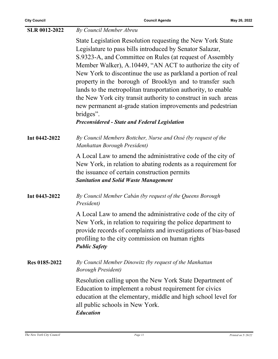| <b>SLR 0012-2022</b> | By Council Member Abreu                                                                                                                                                                                                                                                                                                                                                                                                                                                                                                                                                                                                                            |
|----------------------|----------------------------------------------------------------------------------------------------------------------------------------------------------------------------------------------------------------------------------------------------------------------------------------------------------------------------------------------------------------------------------------------------------------------------------------------------------------------------------------------------------------------------------------------------------------------------------------------------------------------------------------------------|
|                      | State Legislation Resolution requesting the New York State<br>Legislature to pass bills introduced by Senator Salazar,<br>S.9323-A, and Committee on Rules (at request of Assembly<br>Member Walker), A.10449, "AN ACT to authorize the city of<br>New York to discontinue the use as parkland a portion of real<br>property in the borough of Brooklyn and to transfer such<br>lands to the metropolitan transportation authority, to enable<br>the New York city transit authority to construct in such areas<br>new permanent at-grade station improvements and pedestrian<br>bridges".<br><b>Preconsidered - State and Federal Legislation</b> |
| Int 0442-2022        | By Council Members Bottcher, Nurse and Ossé (by request of the<br>Manhattan Borough President)                                                                                                                                                                                                                                                                                                                                                                                                                                                                                                                                                     |
|                      | A Local Law to amend the administrative code of the city of<br>New York, in relation to abating rodents as a requirement for<br>the issuance of certain construction permits<br><b>Sanitation and Solid Waste Management</b>                                                                                                                                                                                                                                                                                                                                                                                                                       |
| Int 0443-2022        | By Council Member Cabán (by request of the Queens Borough<br>President)                                                                                                                                                                                                                                                                                                                                                                                                                                                                                                                                                                            |
|                      | A Local Law to amend the administrative code of the city of<br>New York, in relation to requiring the police department to<br>provide records of complaints and investigations of bias-based<br>profiling to the city commission on human rights<br><b>Public Safety</b>                                                                                                                                                                                                                                                                                                                                                                           |
| Res 0185-2022        | By Council Member Dinowitz (by request of the Manhattan<br><b>Borough President</b> )                                                                                                                                                                                                                                                                                                                                                                                                                                                                                                                                                              |
|                      | Resolution calling upon the New York State Department of<br>Education to implement a robust requirement for civics<br>education at the elementary, middle and high school level for<br>all public schools in New York.<br><b>Education</b>                                                                                                                                                                                                                                                                                                                                                                                                         |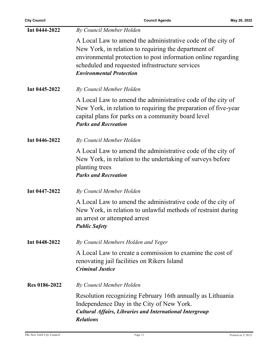**City Council Council Agenda May 26, 2022**

| Int 0444-2022 | By Council Member Holden                                                                                                                                                                                                                                                   |
|---------------|----------------------------------------------------------------------------------------------------------------------------------------------------------------------------------------------------------------------------------------------------------------------------|
|               | A Local Law to amend the administrative code of the city of<br>New York, in relation to requiring the department of<br>environmental protection to post information online regarding<br>scheduled and requested infrastructure services<br><b>Environmental Protection</b> |
| Int 0445-2022 | By Council Member Holden                                                                                                                                                                                                                                                   |
|               | A Local Law to amend the administrative code of the city of<br>New York, in relation to requiring the preparation of five-year<br>capital plans for parks on a community board level<br><b>Parks and Recreation</b>                                                        |
| Int 0446-2022 | By Council Member Holden                                                                                                                                                                                                                                                   |
|               | A Local Law to amend the administrative code of the city of<br>New York, in relation to the undertaking of surveys before<br>planting trees<br><b>Parks and Recreation</b>                                                                                                 |
| Int 0447-2022 | By Council Member Holden                                                                                                                                                                                                                                                   |
|               | A Local Law to amend the administrative code of the city of<br>New York, in relation to unlawful methods of restraint during<br>an arrest or attempted arrest<br><b>Public Safety</b>                                                                                      |
| Int 0448-2022 | By Council Members Holden and Yeger                                                                                                                                                                                                                                        |
|               | A Local Law to create a commission to examine the cost of<br>renovating jail facilities on Rikers Island<br><b>Criminal Justice</b>                                                                                                                                        |
| Res 0186-2022 | By Council Member Holden                                                                                                                                                                                                                                                   |
|               | Resolution recognizing February 16th annually as Lithuania<br>Independence Day in the City of New York.<br><b>Cultural Affairs, Libraries and International Intergroup</b><br><b>Relations</b>                                                                             |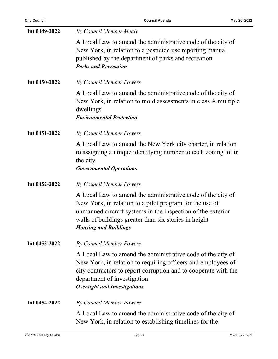| Int 0449-2022 | By Council Member Mealy                                                                                                                                                                                                                                                        |
|---------------|--------------------------------------------------------------------------------------------------------------------------------------------------------------------------------------------------------------------------------------------------------------------------------|
|               | A Local Law to amend the administrative code of the city of<br>New York, in relation to a pesticide use reporting manual<br>published by the department of parks and recreation<br><b>Parks and Recreation</b>                                                                 |
| Int 0450-2022 | By Council Member Powers                                                                                                                                                                                                                                                       |
|               | A Local Law to amend the administrative code of the city of<br>New York, in relation to mold assessments in class A multiple<br>dwellings<br><b>Environmental Protection</b>                                                                                                   |
| Int 0451-2022 | <b>By Council Member Powers</b>                                                                                                                                                                                                                                                |
|               | A Local Law to amend the New York city charter, in relation<br>to assigning a unique identifying number to each zoning lot in<br>the city<br><b>Governmental Operations</b>                                                                                                    |
| Int 0452-2022 | By Council Member Powers                                                                                                                                                                                                                                                       |
|               | A Local Law to amend the administrative code of the city of<br>New York, in relation to a pilot program for the use of<br>unmanned aircraft systems in the inspection of the exterior<br>walls of buildings greater than six stories in height<br><b>Housing and Buildings</b> |
| Int 0453-2022 | By Council Member Powers                                                                                                                                                                                                                                                       |
|               | A Local Law to amend the administrative code of the city of<br>New York, in relation to requiring officers and employees of<br>city contractors to report corruption and to cooperate with the<br>department of investigation<br><b>Oversight and Investigations</b>           |
| Int 0454-2022 | By Council Member Powers                                                                                                                                                                                                                                                       |
|               | A Local Law to amend the administrative code of the city of<br>New York, in relation to establishing timelines for the                                                                                                                                                         |